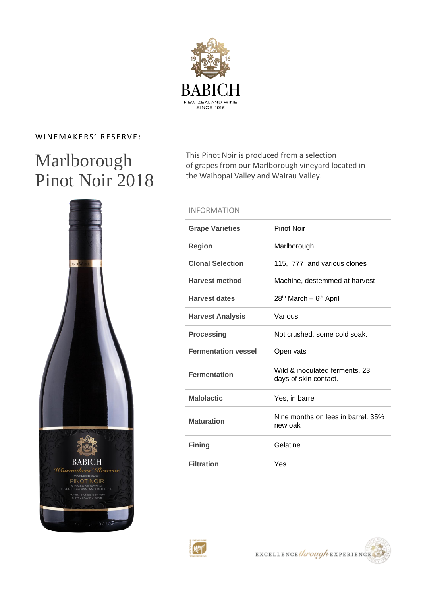

### WINEMAKERS' RESERVE:

# Marlborough Pinot Noir 2018



This Pinot Noir is produced from a selection of grapes from our Marlborough vineyard located in the Waihopai Valley and Wairau Valley.

#### INFORMATION

| <b>Grape Varieties</b>     | Pinot Noir                                              |
|----------------------------|---------------------------------------------------------|
| <b>Region</b>              | Marlborough                                             |
| <b>Clonal Selection</b>    | 115, 777 and various clones                             |
| <b>Harvest method</b>      | Machine, destemmed at harvest                           |
| <b>Harvest dates</b>       | 28 <sup>th</sup> March – 6 <sup>th</sup> April          |
| <b>Harvest Analysis</b>    | Various                                                 |
| <b>Processing</b>          | Not crushed, some cold soak.                            |
|                            |                                                         |
| <b>Fermentation vessel</b> | Open vats                                               |
| <b>Fermentation</b>        | Wild & inoculated ferments, 23<br>days of skin contact. |
| <b>Malolactic</b>          | Yes, in barrel                                          |
| <b>Maturation</b>          | Nine months on lees in barrel, 35%<br>new oak           |
| <b>Fining</b>              | Gelatine                                                |